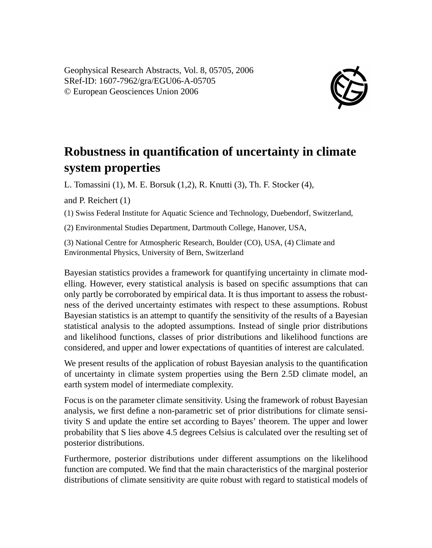

## **Robustness in quantification of uncertainty in climate system properties**

L. Tomassini (1), M. E. Borsuk (1,2), R. Knutti (3), Th. F. Stocker (4),

and P. Reichert (1)

(1) Swiss Federal Institute for Aquatic Science and Technology, Duebendorf, Switzerland,

(2) Environmental Studies Department, Dartmouth College, Hanover, USA,

(3) National Centre for Atmospheric Research, Boulder (CO), USA, (4) Climate and Environmental Physics, University of Bern, Switzerland

Bayesian statistics provides a framework for quantifying uncertainty in climate modelling. However, every statistical analysis is based on specific assumptions that can only partly be corroborated by empirical data. It is thus important to assess the robustness of the derived uncertainty estimates with respect to these assumptions. Robust Bayesian statistics is an attempt to quantify the sensitivity of the results of a Bayesian statistical analysis to the adopted assumptions. Instead of single prior distributions and likelihood functions, classes of prior distributions and likelihood functions are considered, and upper and lower expectations of quantities of interest are calculated.

We present results of the application of robust Bayesian analysis to the quantification of uncertainty in climate system properties using the Bern 2.5D climate model, an earth system model of intermediate complexity.

Focus is on the parameter climate sensitivity. Using the framework of robust Bayesian analysis, we first define a non-parametric set of prior distributions for climate sensitivity S and update the entire set according to Bayes' theorem. The upper and lower probability that S lies above 4.5 degrees Celsius is calculated over the resulting set of posterior distributions.

Furthermore, posterior distributions under different assumptions on the likelihood function are computed. We find that the main characteristics of the marginal posterior distributions of climate sensitivity are quite robust with regard to statistical models of